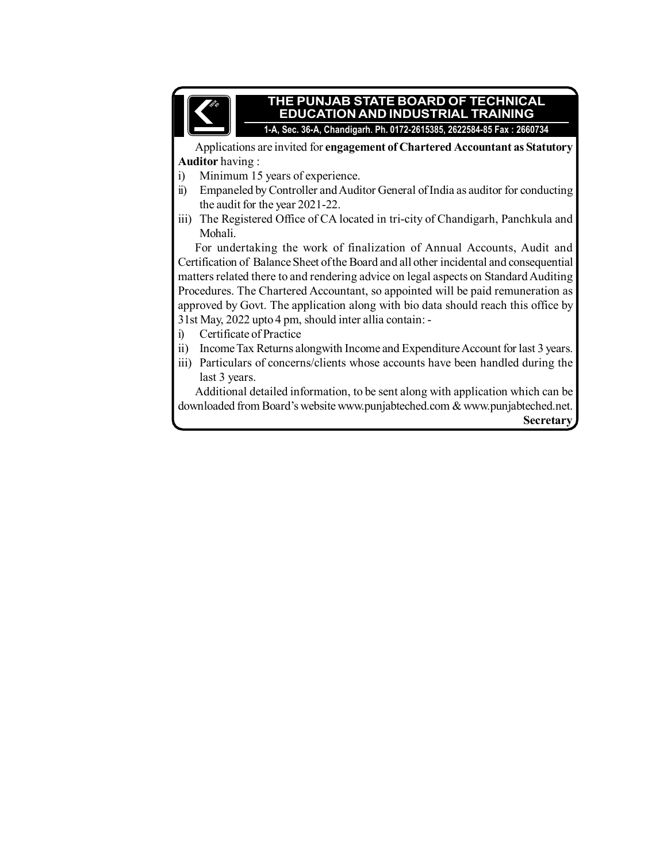

## **THE PUNJAB STATE BOARD OF TECHNICAL EDUCATION AND INDUSTRIAL TRAINING**

**1-A, Sec. 36-A, Chandigarh. Ph. 0172-2615385, 2622584-85 Fax : 2660734**

Applications are invited for **engagement of Chartered Accountant as Statutory Auditor** having :

- i) Minimum 15 years of experience.
- ii) Empaneled by Controller and Auditor General of India as auditor for conducting the audit for the year 2021-22.
- iii) The Registered Office of CA located in tri-city of Chandigarh, Panchkula and Mohali.

For undertaking the work of finalization of Annual Accounts, Audit and Certification of Balance Sheet of the Board and all other incidental and consequential matters related there to and rendering advice on legal aspects on Standard Auditing Procedures. The Chartered Accountant, so appointed will be paid remuneration as approved by Govt. The application along with bio data should reach this office by 31st May, 2022 upto 4 pm, should inter allia contain: -

- i) Certificate of Practice
- ii) Income Tax Returns alongwith Income and Expenditure Account for last 3 years.
- iii) Particulars of concerns/clients whose accounts have been handled during the last 3 years.

Additional detailed information, to be sent along with application which can be downloaded from Board's website www.punjabteched.com & www.punjabteched.net. **Secretary**